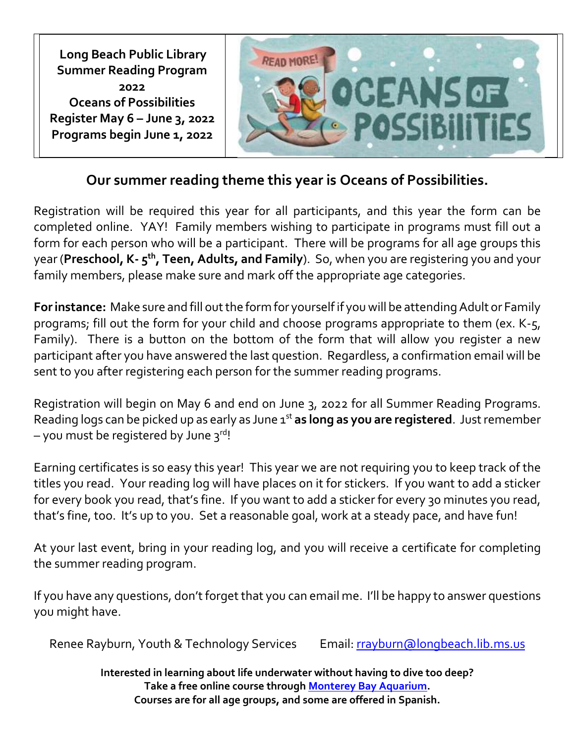**Long Beach Public Library Summer Reading Program 2022 Oceans of Possibilities Register May 6 – June 3, 2022 Programs begin June 1, 2022**



## **Our summer reading theme this year is Oceans of Possibilities.**

Registration will be required this year for all participants, and this year the form can be completed online. YAY! Family members wishing to participate in programs must fill out a form for each person who will be a participant. There will be programs for all age groups this year (**Preschool, K- 5 th, Teen, Adults, and Family**). So, when you are registering you and your family members, please make sure and mark off the appropriate age categories.

**For instance:** Make sure and fill out the form for yourself if you will be attending Adult or Family programs; fill out the form for your child and choose programs appropriate to them (ex. K-5, Family). There is a button on the bottom of the form that will allow you register a new participant after you have answered the last question. Regardless, a confirmation email will be sent to you after registering each person for the summer reading programs.

Registration will begin on May 6 and end on June 3, 2022 for all Summer Reading Programs. Reading logs can be picked up as early as June 1<sup>st</sup> as long as you are registered. Just remember  $-$  you must be registered by June  $3^{\text{rd}}$ !

Earning certificates is so easy this year! This year we are not requiring you to keep track of the titles you read. Your reading log will have places on it for stickers. If you want to add a sticker for every book you read, that's fine. If you want to add a sticker for every 30 minutes you read, that's fine, too. It's up to you. Set a reasonable goal, work at a steady pace, and have fun!

At your last event, bring in your reading log, and you will receive a certificate for completing the summer reading program.

If you have any questions, don't forget that you can email me. I'll be happy to answer questions you might have.

Renee Rayburn, Youth & Technology Services Email: [rrayburn@longbeach.lib.ms.us](mailto:rrayburn@longbeach.lib.ms.us)

**Interested in learning about life underwater without having to dive too deep? Take a free online course through [Monterey Bay Aquarium.](https://www.montereybayaquarium.org/for-educators/learning-at-home/online-courses?filterBy=) Courses are for all age groups, and some are offered in Spanish.**